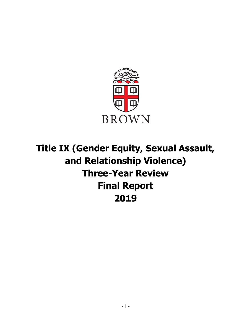

# **Title IX (Gender Equity, Sexual Assault, and Relationship Violence) Three-Year Review Final Report 2019**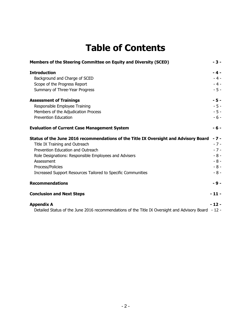## **Table of Contents**

| Members of the Steering Committee on Equity and Diversity (SCED)                                     | $-3-$  |
|------------------------------------------------------------------------------------------------------|--------|
| <b>Introduction</b>                                                                                  | $-4-$  |
| Background and Charge of SCED                                                                        | $-4-$  |
| Scope of the Progress Report                                                                         | $-4-$  |
| Summary of Three-Year Progress                                                                       | $-5-$  |
| <b>Assessment of Trainings</b>                                                                       | $-5-$  |
| Responsible Employee Training                                                                        | $-5 -$ |
| Members of the Adjudication Process                                                                  | $-5 -$ |
| <b>Prevention Education</b>                                                                          | - 6 -  |
| <b>Evaluation of Current Case Management System</b>                                                  | $-6-$  |
| Status of the June 2016 recommendations of the Title IX Oversight and Advisory Board                 | - 7 -  |
| Title IX Training and Outreach                                                                       | $-7-$  |
| Prevention Education and Outreach                                                                    | $-7-$  |
| Role Designations: Responsible Employees and Advisers                                                | $-8-$  |
| Assessment                                                                                           | $-8-$  |
| Process/Policies                                                                                     | $-8-$  |
| Increased Support Resources Tailored to Specific Communities                                         | $-8-$  |
| <b>Recommendations</b>                                                                               | $-9-$  |
| <b>Conclusion and Next Steps</b>                                                                     | $-11-$ |
| <b>Appendix A</b>                                                                                    | $-12-$ |
| Detailed Status of the June 2016 recommendations of the Title IX Oversight and Advisory Board - 12 - |        |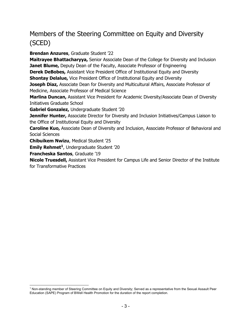## Members of the Steering Committee on Equity and Diversity (SCED)

**Brendan Anzures**, Graduate Student '22 **Maitrayee Bhattacharyya,** Senior Associate Dean of the College for Diversity and Inclusion **Janet Blume,** Deputy Dean of the Faculty, Associate Professor of Engineering **Derek DeBobes,** Assistant Vice President Office of Institutional Equity and Diversity **Shontay Delalue,** Vice President Office of Institutional Equity and Diversity **Joseph Diaz,** Associate Dean for Diversity and Multicultural Affairs, Associate Professor of Medicine, Associate Professor of Medical Science **Marlina Duncan,** Assistant Vice President for Academic Diversity/Associate Dean of Diversity Initiatives Graduate School **Gabriel Gonzalez,** Undergraduate Student '20 **Jennifer Hunter,** Associate Director for Diversity and Inclusion Initiatives/Campus Liaison to the Office of Institutional Equity and Diversity **Caroline Kuo,** Associate Dean of Diversity and Inclusion, Associate Professor of Behavioral and Social Sciences **Chibuikem Nwizu**, Medical Student '25 **Emily Rehmet<sup>1</sup>**, Undergraduate Student '20 **Francheska Santos**, Graduate '19 **Nicole Truesdell,** Assistant Vice President for Campus Life and Senior Director of the Institute

for Transformative Practices

 <sup>1</sup> Non-standing member of Steering Committee on Equity and Diversity; Served as a representative from the Sexual Assault Peer Education (SAPE) Program of BWell Health Promotion for the duration of the report completion.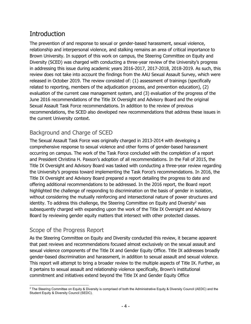## Introduction

The prevention of and response to sexual or gender-based harassment, sexual violence, relationship and interpersonal violence, and stalking remains an area of critical importance to Brown University. In support of this work on campus, the Steering Committee on Equity and Diversity (SCED) was charged with conducting a three-year review of the University's progress in addressing this issue during academic years 2016-2017, 2017-2018, 2018-2019. As such, this review does not take into account the findings from the AAU Sexual Assault Survey, which were released in October 2019. The review consisted of: (1) assessment of trainings (specifically related to reporting, members of the adjudication process, and prevention education), (2) evaluation of the current case management system, and (3) evaluation of the progress of the June 2016 recommendations of the Title IX Oversight and Advisory Board and the original Sexual Assault Task Force recommendations. In addition to the review of previous recommendations, the SCED also developed new recommendations that address these issues in the current University context.

#### Background and Charge of SCED

The Sexual Assault Task Force was originally charged in 2013-2014 with developing a comprehensive response to sexual violence and other forms of gender-based harassment occurring on campus. The work of the Task Force concluded with the completion of a report and President Christina H. Paxson's adoption of all recommendations. In the Fall of 2015, the Title IX Oversight and Advisory Board was tasked with conducting a three-year review regarding the University's progress toward implementing the Task Force's recommendations. In 2016, the Title IX Oversight and Advisory Board prepared a report detailing the progress to date and offering additional recommendations to be addressed. In the 2016 report, the Board report highlighted the challenge of responding to discrimination on the basis of gender in isolation, without considering the mutually reinforcing and intersectional nature of power structures and identity. To address this challenge, the Steering Committee on Equity and Diversity<sup>2</sup> was subsequently charged with expanding upon the work of the Title IX Oversight and Advisory Board by reviewing gender equity matters that intersect with other protected classes.

#### Scope of the Progress Report

As the Steering Committee on Equity and Diversity conducted this review, it became apparent that past reviews and recommendations focused almost exclusively on the sexual assault and sexual violence components of the Title IX and Gender Equity Office. Title IX addresses broadly gender-based discrimination and harassment, in addition to sexual assault and sexual violence. This report will attempt to bring a broader review to the multiple aspects of Title IX. Further, as it pertains to sexual assault and relationship violence specifically, Brown's institutional commitment and initiatives extend beyond the Title IX and Gender Equity Office

<sup>&</sup>lt;sup>2</sup> The Steering Committee on Equity & Diversity is comprised of both the Administrative Equity & Diversity Council (AEDC) and the Student Equity & Diversity Council (SEDC).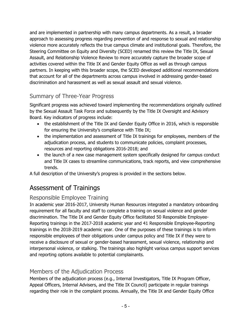and are implemented in partnership with many campus departments. As a result, a broader approach to assessing progress regarding prevention of and response to sexual and relationship violence more accurately reflects the true campus climate and institutional goals. Therefore, the Steering Committee on Equity and Diversity (SCED) renamed this review the Title IX, Sexual Assault, and Relationship Violence Review to more accurately capture the broader scope of activities covered within the Title IX and Gender Equity Office as well as through campus partners. In keeping with this broader scope, the SCED developed additional recommendations that account for all of the departments across campus involved in addressing gender-based discrimination and harassment as well as sexual assault and sexual violence.

## Summary of Three-Year Progress

Significant progress was achieved toward implementing the recommendations originally outlined by the Sexual Assault Task Force and subsequently by the Title IX Oversight and Advisory Board. Key indicators of progress include:

- the establishment of the Title IX and Gender Equity Office in 2016, which is responsible for ensuring the University's compliance with Title IX;
- the implementation and assessment of Title IX trainings for employees, members of the adjudication process, and students to communicate policies, complaint processes, resources and reporting obligations 2016-2018; and
- the launch of a new case management system specifically designed for campus conduct and Title IX cases to streamline communications, track reports, and view comprehensive trends.

A full description of the University's progress is provided in the sections below.

## Assessment of Trainings

## Responsible Employee Training

In academic year 2016-2017, University Human Resources integrated a mandatory onboarding requirement for all faculty and staff to complete a training on sexual violence and gender discrimination. The Title IX and Gender Equity Office facilitated 50 Responsible Employee-Reporting trainings in the 2017-2018 academic year and 41 Responsible Employee-Reporting trainings in the 2018-2019 academic year. One of the purposes of these trainings is to inform responsible employees of their obligations under campus policy and Title IX if they were to receive a disclosure of sexual or gender-based harassment, sexual violence, relationship and interpersonal violence, or stalking. The trainings also highlight various campus support services and reporting options available to potential complainants.

#### Members of the Adjudication Process

Members of the adjudication process (e.g., Internal Investigators, Title IX Program Officer, Appeal Officers, Internal Advisers, and the Title IX Council) participate in regular trainings regarding their role in the complaint process. Annually, the Title IX and Gender Equity Office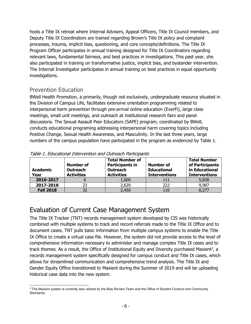hosts a Title IX retreat where Internal Advisers, Appeal Officers, Title IX Council members, and Deputy Title IX Coordinators are trained regarding Brown's Title IX policy and complaint processes, trauma, implicit bias, questioning, and core concepts/definitions. The Title IX Program Officer participates in annual training designed for Title IX Coordinators regarding relevant laws, fundamental fairness, and best practices in investigations. This past year, she also participated in training on transformative justice, implicit bias, and bystander intervention. The Internal Investigator participates in annual training on best practices in equal opportunity investigations.

#### Prevention Education

BWell Health Promotion, a primarily, though not exclusively, undergraduate resource situated in the Division of Campus Life, facilitates extensive orientation programming related to interpersonal harm prevention through pre-arrival online education (EverFi), large class meetings, small unit meetings, and outreach at institutional research fairs and panel discussions. The Sexual Assault Peer Educators (SAPE) program, coordinated by BWell, conducts educational programing addressing interpersonal harm covering topics including Positive Change, Sexual Health Awareness, and Masculinity. In the last three years, large numbers of the campus population have participated in the program as evidenced by Table 1.

| <b>Academic</b><br>Year | Number of<br><b>Outreach</b><br><b>Activities</b> | <b>Total Number of</b><br><b>Participants in</b><br><b>Outreach</b><br><b>Activities</b> | <b>Number of</b><br><b>Educational</b><br><b>Interventions</b> | <b>Total Number</b><br>of Participants<br>in Educational<br><b>Interventions</b> |
|-------------------------|---------------------------------------------------|------------------------------------------------------------------------------------------|----------------------------------------------------------------|----------------------------------------------------------------------------------|
| 2016-2017               |                                                   | 1,600                                                                                    | 111                                                            | 5,838                                                                            |
| 2017-2018               | 23                                                | 2,620                                                                                    | 222                                                            | 9,987                                                                            |
| <b>Fall 2018</b>        | 32                                                | 2,450                                                                                    |                                                                | 8,277                                                                            |

| Table 1. Educational Intervention and Outreach Participants |
|-------------------------------------------------------------|
|-------------------------------------------------------------|

## Evaluation of Current Case Management System

The Title IX Tracker (TNT) records management system developed by CIS was historically combined with multiple systems to track and record referrals made to the Title IX Office and to document cases. TNT pulls basic information from multiple campus systems to enable the Title IX Office to create a virtual case file. However, the system did not provide access to the level of comprehensive information necessary to administer and manage complex Title IX cases and to track themes. As a result, the Office of Institutional Equity and Diversity purchased Maxient<sup>3</sup>, a records management system specifically designed for campus conduct and Title IX cases, which allows for streamlined communication and comprehensive trend analysis. The Title IX and Gender Equity Office transitioned to Maxient during the Summer of 2019 and will be uploading historical case data into the new system.

 $3$  The Maxient system is currently also utilized by the Bias Review Team and the Office of Student Conduct and Community Standards.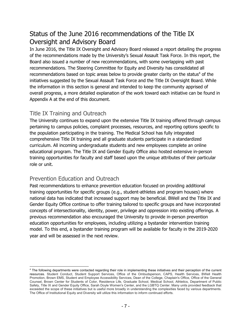## Status of the June 2016 recommendations of the Title IX Oversight and Advisory Board

In June 2016, the Title IX Oversight and Advisory Board released a report detailing the progress of the recommendations made by the University's Sexual Assault Task Force. In this report, the Board also issued a number of new recommendations, with some overlapping with past recommendations. The Steering Committee for Equity and Diversity has consolidated all recommendations based on topic areas below to provide greater clarity on the status $4$  of the initiatives suggested by the Sexual Assault Task Force and the Title IX Oversight Board. While the information in this section is general and intended to keep the community apprised of overall progress, a more detailed explanation of the work toward each initiative can be found in Appendix A at the end of this document.

#### Title IX Training and Outreach

The University continues to expand upon the extensive Title IX training offered through campus pertaining to campus policies, complaint processes, resources, and reporting options specific to the population participating in the training. The Medical School has fully integrated comprehensive Title IX training and all graduate students participate in a standardized curriculum. All incoming undergraduate students and new employees complete an online educational program. The Title IX and Gender Equity Office also hosted extensive in-person training opportunities for faculty and staff based upon the unique attributes of their particular role or unit.

#### Prevention Education and Outreach

Past recommendations to enhance prevention education focused on providing additional training opportunities for specific groups (e.g., student-athletes and program houses) where national data has indicated that increased support may be beneficial. BWell and the Title IX and Gender Equity Office continue to offer training tailored to specific groups and have incorporated concepts of intersectionality, identity, power, privilege and oppression into existing offerings. A previous recommendation also encouraged the University to provide in-person prevention education opportunities for employees, including utilizing a bystander intervention training model. To this end, a bystander training program will be available for faculty in the 2019-2020 year and will be assessed in the next review.

<sup>&</sup>lt;sup>4</sup> The following departments were contacted regarding their role in implementing these initiatives and their perception of the current resources. Student Conduct, Student Support Services, Office of the Ombudsperson, CAPS, Health Services, BWell Health Promotion, Brown EMS, Student and Employee Accessibility Services, Dean of the College, Chaplain's Office, Office of the General Counsel, Brown Center for Students of Color, Residence Life, Graduate School, Medical School, Athletics, Department of Public Safety, Title IX and Gender Equity Office, Sarah Doyle Women's Center, and the LGBTQ Center. Many units provided feedback that exceeded the scope of these initiatives but is useful more broadly in understanding the complexities faced by various departments. The Office of Institutional Equity and Diversity will utilize this information to inform continued efforts.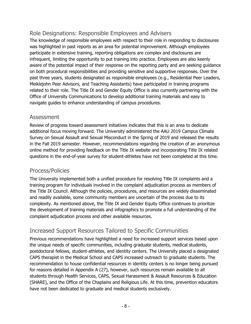## Role Designations: Responsible Employees and Advisers

The knowledge of responsible employees with respect to their role in responding to disclosures was highlighted in past reports as an area for potential improvement. Although employees participate in extensive training, reporting obligations are complex and disclosures are infrequent, limiting the opportunity to put training into practice. Employees are also keenly aware of the potential impact of their response on the reporting party and are seeking guidance on both procedural responsibilities and providing sensitive and supportive responses. Over the past three years, students designated as responsible employees (e.g., Residential Peer Leaders, Meiklejohn Peer Advisors, and Teaching Assistants) have participated in training programs related to their role. The Title IX and Gender Equity Office is also currently partnering with the Office of University Communications to develop additional training materials and easy to navigate guides to enhance understanding of campus procedures.

#### Assessment

Review of progress toward assessment initiatives indicates that this is an area to dedicate additional focus moving forward. The University administered the AAU 2019 Campus Climate Survey on Sexual Assault and Sexual Misconduct in the Spring of 2019 and released the results in the Fall 2019 semester. However, recommendations regarding the creation of an anonymous online method for providing feedback on the Title IX website and incorporating Title IX related questions in the end-of-year survey for student-athletes have not been completed at this time.

#### Process/Policies

The University implemented both a unified procedure for resolving Title IX complaints and a training program for individuals involved in the complaint adjudication process as members of the Title IX Council. Although the policies, procedures, and resources are widely disseminated and readily available, some community members are uncertain of the process due to its complexity. As mentioned above, the Title IX and Gender Equity Office continues to prioritize the development of training materials and infographics to promote a full understanding of the complaint adjudication process and other available resources.

## Increased Support Resources Tailored to Specific Communities

Previous recommendations have highlighted a need for increased support services based upon the unique needs of specific communities, including graduate students, medical students, postdoctoral fellows, student-athletes, and identity centers. The University placed a designated CAPS therapist in the Medical School and CAPS increased outreach to graduate students. The recommendation to house confidential resources in identity centers is no longer being pursued for reasons detailed in Appendix A (27), however, such resources remain available to all students through Health Services, CAPS, Sexual Harassment & Assault Resources & Education (SHARE), and the Office of the Chaplains and Religious Life. At this time, prevention educators have not been dedicated to graduate and medical students exclusively.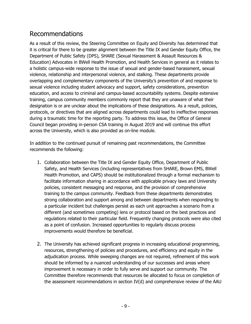## Recommendations

As a result of this review, the Steering Committee on Equity and Diversity has determined that it is critical for there to be greater alignment between the Title IX and Gender Equity Office, the Department of Public Safety (DPS), SHARE (Sexual Harassment & Assault Resources & Education) Advocates in BWell Health Promotion, and Health Services in general as it relates to a holistic campus-wide response to the issue of sexual and gender-based harassment, sexual violence, relationship and interpersonal violence, and stalking. These departments provide overlapping and complementary components of the University's prevention of and response to sexual violence including student advocacy and support, safety considerations, prevention education, and access to criminal and campus-based accountability systems. Despite extensive training, campus community members commonly report that they are unaware of what their designation is or are unclear about the implications of these designations. As a result, policies, protocols, or directives that are aligned across departments could lead to ineffective responses during a traumatic time for the reporting party. To address this issue, the Office of General Council began providing in-person CSA training in August 2019 and will continue this effort across the University, which is also provided as on-line module.

In addition to the continued pursuit of remaining past recommendations, the Committee recommends the following:

- 1. Collaboration between the Title IX and Gender Equity Office, Department of Public Safety, and Health Services (including representatives from SHARE, Brown EMS, BWell Health Promotion, and CAPS) should be institutionalized through a formal mechanism to facilitate information sharing in accordance with applicable privacy laws and University policies, consistent messaging and response, and the provision of comprehensive training to the campus community. Feedback from these departments demonstrates strong collaboration and support among and between departments when responding to a particular incident but challenges persist as each unit approaches a scenario from a different (and sometimes competing) lens or protocol based on the best practices and regulations related to their particular field. Frequently changing protocols were also cited as a point of confusion. Increased opportunities to regularly discuss process improvements would therefore be beneficial.
- 2. The University has achieved significant progress in increasing educational programming, resources, strengthening of policies and procedures, and efficiency and equity in the adjudication process. While sweeping changes are not required, refinement of this work should be informed by a nuanced understanding of our successes and areas where improvement is necessary in order to fully serve and support our community. The Committee therefore recommends that resources be allocated to focus on completion of the assessment recommendations in section IV(d) and comprehensive review of the AAU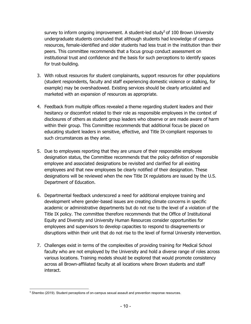survey to inform ongoing improvement. A student-led study<sup>5</sup> of 100 Brown University undergraduate students concluded that although students had knowledge of campus resources, female-identified and older students had less trust in the institution than their peers. This committee recommends that a focus group conduct assessment on institutional trust and confidence and the basis for such perceptions to identify spaces for trust-building.

- 3. With robust resources for student complainants, support resources for other populations (student respondents, faculty and staff experiencing domestic violence or stalking, for example) may be overshadowed. Existing services should be clearly articulated and marketed with an expansion of resources as appropriate.
- 4. Feedback from multiple offices revealed a theme regarding student leaders and their hesitancy or discomfort related to their role as responsible employees in the context of disclosures of others as student group leaders who observe or are made aware of harm within their group. This Committee recommends that additional focus be placed on educating student leaders in sensitive, effective, and Title IX-compliant responses to such circumstances as they arise.
- 5. Due to employees reporting that they are unsure of their responsible employee designation status, the Committee recommends that the policy definition of responsible employee and associated designations be revisited and clarified for all existing employees and that new employees be clearly notified of their designation. These designations will be reviewed when the new Title IX regulations are issued by the U.S. Department of Education.
- 6. Departmental feedback underscored a need for additional employee training and development where gender-based issues are creating climate concerns in specific academic or administrative departments but do not rise to the level of a violation of the Title IX policy. The committee therefore recommends that the Office of Institutional Equity and Diversity and University Human Resources consider opportunities for employees and supervisors to develop capacities to respond to disagreements or disruptions within their unit that do not rise to the level of formal University intervention.
- 7. Challenges exist in terms of the complexities of providing training for Medical School faculty who are not employed by the University and hold a diverse range of roles across various locations. Training models should be explored that would promote consistency across all Brown-affiliated faculty at all locations where Brown students and staff interact.

<sup>&</sup>lt;sup>5</sup> Shembo (2019). Student perceptions of on-campus sexual assault and prevention response resources.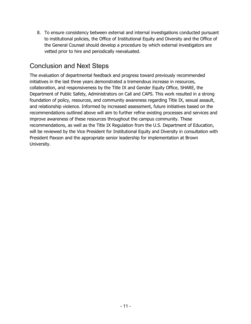8. To ensure consistency between external and internal investigations conducted pursuant to institutional policies, the Office of Institutional Equity and Diversity and the Office of the General Counsel should develop a procedure by which external investigators are vetted prior to hire and periodically reevaluated.

## Conclusion and Next Steps

The evaluation of departmental feedback and progress toward previously recommended initiatives in the last three years demonstrated a tremendous increase in resources, collaboration, and responsiveness by the Title IX and Gender Equity Office, SHARE, the Department of Public Safety, Administrators on Call and CAPS. This work resulted in a strong foundation of policy, resources, and community awareness regarding Title IX, sexual assault, and relationship violence. Informed by increased assessment, future initiatives based on the recommendations outlined above will aim to further refine existing processes and services and improve awareness of these resources throughout the campus community. These recommendations, as well as the Title IX Regulation from the U.S. Department of Education, will be reviewed by the Vice President for Institutional Equity and Diversity in consultation with President Paxson and the appropriate senior leadership for implementation at Brown University.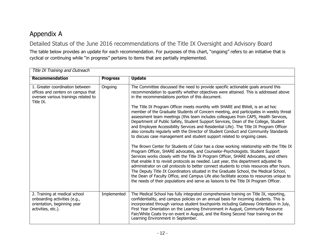## Appendix A

Detailed Status of the June 2016 recommendations of the Title IX Oversight and Advisory Board

The table below provides an update for each recommendation. For purposes of this chart, "ongoing" refers to an initiative that is cyclical or continuing while "in progress" pertains to items that are partially implemented.

| Title IX Training and Outreach                                                                                             |                 |                                                                                                                                                                                                                                                                                                                                                                                                                                                                                                                                                                                                                                                                                                                                              |
|----------------------------------------------------------------------------------------------------------------------------|-----------------|----------------------------------------------------------------------------------------------------------------------------------------------------------------------------------------------------------------------------------------------------------------------------------------------------------------------------------------------------------------------------------------------------------------------------------------------------------------------------------------------------------------------------------------------------------------------------------------------------------------------------------------------------------------------------------------------------------------------------------------------|
| <b>Recommendation</b>                                                                                                      | <b>Progress</b> | <b>Update</b>                                                                                                                                                                                                                                                                                                                                                                                                                                                                                                                                                                                                                                                                                                                                |
| 1. Greater coordination between<br>offices and centers on campus that<br>oversee various trainings related to<br>Title IX. | Ongoing         | The Committee discussed the need to provide specific actionable goals around this<br>recommendation to quantify whether objectives were attained. This is addressed above<br>in the recommendations portion of this document.                                                                                                                                                                                                                                                                                                                                                                                                                                                                                                                |
|                                                                                                                            |                 | The Title IX Program Officer meets monthly with SHARE and BWell, is an ad hoc<br>member of the Graduate Students of Concern meeting, and participates in weekly threat<br>assessment team meetings (this team includes colleagues from CAPS, Health Services,<br>Department of Public Safety, Student Support Services, Dean of the College, Student<br>and Employee Accessibility Services and Residential Life). The Title IX Program Officer<br>also consults regularly with the Director of Student Conduct and Community Standards<br>to discuss case management and student support related to ongoing cases.                                                                                                                          |
|                                                                                                                            |                 | The Brown Center for Students of Color has a close working relationship with the Title IX<br>Program Officer, SHARE advocates, and Counselor-Psychologists. Student Support<br>Services works closely with the Title IX Program Officer, SHARE Advocates, and others<br>that enable it to revisit protocols as needed. Last year, this department adjusted its<br>administrator on call protocols to better connect students to crisis resources after hours.<br>The Deputy Title IX Coordinators situated in the Graduate School, the Medical School,<br>the Dean of Faculty Office, and Campus Life also facilitate access to resources unique to<br>the needs of their populations and serve as liaisons to the Title IX Program Officer. |
| 2. Training at medical school<br>onboarding activities (e.g.,<br>orientation, beginning year<br>activities, etc.).         | Implemented     | The Medical School has fully integrated comprehensive training on Title IX, reporting,<br>confidentiality, and campus policies on an annual basis for incoming students. This is<br>incorporated through various student touchpoints including Gateway Orientation in July,<br>First Year Orientation on the Learning Environment in August, Community Resource<br>Fair/White Coats try-on event in August, and the Rising Second Year training on the<br>Learning Environment in September.                                                                                                                                                                                                                                                 |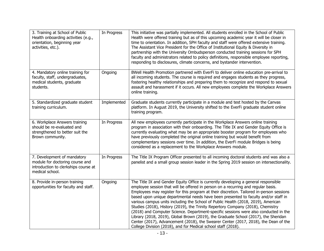| 3. Training at School of Public<br>Health onboarding activities (e.g.,<br>orientation, beginning year<br>activities, etc.). | In Progress | This initiative was partially implemented. All students enrolled in the School of Public<br>Health were offered training but as of this upcoming academic year it will be closer in<br>time to orientation. In addition, SPH faculty and staff were offered extensive training.<br>The Assistant Vice President for the Office of Institutional Equity & Diversity in<br>partnership with the University Ombudsperson conducted training sessions for SPH<br>faculty and administrators related to policy definitions, responsible employee reporting,<br>responding to disclosures, climate concerns, and bystander intervention.                                                                                                                                                                                                                                         |
|-----------------------------------------------------------------------------------------------------------------------------|-------------|----------------------------------------------------------------------------------------------------------------------------------------------------------------------------------------------------------------------------------------------------------------------------------------------------------------------------------------------------------------------------------------------------------------------------------------------------------------------------------------------------------------------------------------------------------------------------------------------------------------------------------------------------------------------------------------------------------------------------------------------------------------------------------------------------------------------------------------------------------------------------|
| 4. Mandatory online training for<br>faculty, staff, undergraduates,<br>medical students, graduate<br>students.              | Ongoing     | BWell Health Promotion partnered with EverFi to deliver online education pre-arrival to<br>all incoming students. The course is required and engages students as they progress,<br>fostering healthy relationships and preparing them to recognize and respond to sexual<br>assault and harassment if it occurs. All new employees complete the Workplace Answers<br>online training.                                                                                                                                                                                                                                                                                                                                                                                                                                                                                      |
| 5. Standardized graduate student<br>training curriculum.                                                                    | Implemented | Graduate students currently participate in a module and test hosted by the Canvas<br>platform. In August 2019, the University shifted to the EverFi graduate student online<br>training program.                                                                                                                                                                                                                                                                                                                                                                                                                                                                                                                                                                                                                                                                           |
| 6. Workplace Answers training<br>should be re-evaluated and<br>strengthened to better suit the<br>Brown community.          | In Progress | All new employees currently participate in the Workplace Answers online training<br>program in association with their onboarding. The Title IX and Gender Equity Office is<br>currently evaluating what may be an appropriate booster program for employees who<br>have previously completed the original online training but would benefit from<br>complementary sessions over time. In addition, the EverFi module Bridges is being<br>considered as a replacement to the Workplace Answers module.                                                                                                                                                                                                                                                                                                                                                                      |
| 7. Development of mandatory<br>module for doctoring course and<br>introduction to clerkships course at<br>medical school.   | In Progress | The Title IX Program Officer presented to all incoming doctoral students and was also a<br>panelist and a small group session leader in the Spring 2019 session on intersectionality.                                                                                                                                                                                                                                                                                                                                                                                                                                                                                                                                                                                                                                                                                      |
| 8. Provide in-person training<br>opportunities for faculty and staff.                                                       | Ongoing     | The Title IX and Gender Equity Office is currently developing a general responsible<br>employee session that will be offered in person on a recurring and regular basis.<br>Employees may register for this program at their discretion. Tailored in-person sessions<br>based upon unique departmental needs have been presented to faculty and/or staff in<br>various campus units including the School of Public Health (2018, 2019), American<br>Studies (2018), History (2019), the Trinity Repertory Company (2018), Chemistry<br>(2018) and Computer Science. Department-specific sessions were also conducted in the<br>Library (2018, 2019), Global Brown (2019), the Graduate School (2017), the Sheridan<br>Center (2017), Advancement (2018), the Swearer Center (2017, 2018), the Dean of the<br>College Division (2018), and for Medical school staff (2018). |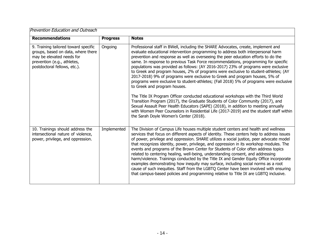| Prevention Education and Outreach                                                                                                                                      |                 |                                                                                                                                                                                                                                                                                                                                                                                                                                                                                                                                                                                                                                                                                                                                                                                                                                                                                                                                                                                                                                                                                                                                             |
|------------------------------------------------------------------------------------------------------------------------------------------------------------------------|-----------------|---------------------------------------------------------------------------------------------------------------------------------------------------------------------------------------------------------------------------------------------------------------------------------------------------------------------------------------------------------------------------------------------------------------------------------------------------------------------------------------------------------------------------------------------------------------------------------------------------------------------------------------------------------------------------------------------------------------------------------------------------------------------------------------------------------------------------------------------------------------------------------------------------------------------------------------------------------------------------------------------------------------------------------------------------------------------------------------------------------------------------------------------|
| <b>Recommendations</b>                                                                                                                                                 | <b>Progress</b> | <b>Notes</b>                                                                                                                                                                                                                                                                                                                                                                                                                                                                                                                                                                                                                                                                                                                                                                                                                                                                                                                                                                                                                                                                                                                                |
| 9. Training tailored toward specific<br>groups, based on data, where there<br>may be elevated needs for<br>prevention (e.g., athletes,<br>postdoctoral fellows, etc.). | Ongoing         | Professional staff in BWell, including the SHARE Advocates, create, implement and<br>evaluate educational intervention programming to address both interpersonal harm<br>prevention and response as well as overseeing the peer education efforts to do the<br>same. In response to previous Task Force recommendations, programming for specific<br>populations was provided as follows: (AY 2016-2017) 23% of programs were exclusive<br>to Greek and program houses, 2% of programs were exclusive to student-athletes; (AY<br>2017-2018) 9% of programs were exclusive to Greek and program houses, 5% of<br>programs were exclusive to student-athletes; (Fall 2018) 5% of programs were exclusive<br>to Greek and program houses.<br>The Title IX Program Officer conducted educational workshops with the Third World<br>Transition Program (2017), the Graduate Students of Color Community (2017), and<br>Sexual Assault Peer Health Educators (SAPE) (2018), in addition to meeting annually<br>with Women Peer Counselors in Residential Life (2017-2019) and the student staff within<br>the Sarah Doyle Women's Center (2018). |
| 10. Trainings should address the<br>intersectional nature of violence,<br>power, privilege, and oppression.                                                            | Implemented     | The Division of Campus Life houses multiple student centers and health and wellness<br>services that focus on different aspects of identity. These centers help to address issues<br>of power, privilege and oppression. SHARE utilizes a social justice, peer advocate model<br>that recognizes identity, power, privilege, and oppression in its workshop modules. The<br>events and programs of the Brown Center for Students of Color often address topics<br>related to centering healing, well-being, understanding consent, and addressing<br>harm/violence. Trainings conducted by the Title IX and Gender Equity Office incorporate<br>examples demonstrating how inequity may surface, including social norms as a root<br>cause of such inequities. Staff from the LGBTQ Center have been involved with ensuring<br>that campus-based policies and programming relative to Title IX are LGBTQ inclusive.                                                                                                                                                                                                                         |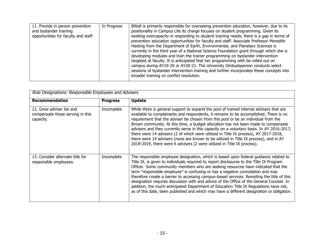| 11. Provide in person prevention<br>and bystander training<br>opportunities for faculty and staff. | In Progress | BWell is primarily responsible for overseeing prevention education, however, due to its<br>positionality in Campus Life its charge focuses on student programming. Given its<br>existing overcapacity in responding to student training needs, there is a gap in terms of<br>prevention education opportunities for faculty and staff. Associate Professor Meredith<br>Hasting from the Department of Earth, Environmental, and Planetary Sciences is<br>currently in the third year of a National Science Foundation grant through which she is<br>developing modules and train the trainer programming on bystander intervention<br>targeted at faculty. It is anticipated that her programming with be rolled out on<br>campus during AY19-20 or AY20-21. The University Ombudsperson conducts select<br>sessions of bystander intervention training and further incorporates these concepts into<br>broader training on conflict resolution. |
|----------------------------------------------------------------------------------------------------|-------------|--------------------------------------------------------------------------------------------------------------------------------------------------------------------------------------------------------------------------------------------------------------------------------------------------------------------------------------------------------------------------------------------------------------------------------------------------------------------------------------------------------------------------------------------------------------------------------------------------------------------------------------------------------------------------------------------------------------------------------------------------------------------------------------------------------------------------------------------------------------------------------------------------------------------------------------------------|
|----------------------------------------------------------------------------------------------------|-------------|--------------------------------------------------------------------------------------------------------------------------------------------------------------------------------------------------------------------------------------------------------------------------------------------------------------------------------------------------------------------------------------------------------------------------------------------------------------------------------------------------------------------------------------------------------------------------------------------------------------------------------------------------------------------------------------------------------------------------------------------------------------------------------------------------------------------------------------------------------------------------------------------------------------------------------------------------|

| Role Designations: Responsible Employees and Advisers                      |                 |                                                                                                                                                                                                                                                                                                                                                                                                                                                                                                                                                                                                                                                                                                                                           |
|----------------------------------------------------------------------------|-----------------|-------------------------------------------------------------------------------------------------------------------------------------------------------------------------------------------------------------------------------------------------------------------------------------------------------------------------------------------------------------------------------------------------------------------------------------------------------------------------------------------------------------------------------------------------------------------------------------------------------------------------------------------------------------------------------------------------------------------------------------------|
| <b>Recommendation</b>                                                      | <b>Progress</b> | <b>Update</b>                                                                                                                                                                                                                                                                                                                                                                                                                                                                                                                                                                                                                                                                                                                             |
| 12. Grow adviser list and<br>compensate those serving in this<br>capacity. | Incomplete      | While there is general support to expand the pool of trained internal advisers that are<br>available to complainants and respondents, it remains to be accomplished. There is no<br>requirement that the adviser be chosen from this pool or be an individual from the<br>Brown community. At this time, a budget allocation has not been made to compensate<br>advisers and they currently serve in this capacity on a voluntary basis. In AY 2016-2017,<br>there were 14 advisers (2 of which were utilized in Title IX process), AY 2017-2018,<br>there were 14 advisers (none are known to be utilized in Title IX process), and in AY<br>2018-2019, there were 6 advisers (2 were utilized in Title IX process).                     |
| 13. Consider alternate title for<br>responsible employees.                 | Incomplete      | The responsible employee designation, which is based upon federal guidance related to<br>Title IX, is given to individuals required to report disclosures to the Title IX Program<br>Officer. Some community members who are seeking resources have indicated that the<br>term "responsible employee" is confusing or has a negative connotation and may<br>therefore create a barrier to accessing campus-based services. Revisiting the title of this<br>designation requires discussion with and advice of the Office of the General Counsel. In<br>addition, the much-anticipated Department of Education Title IX Regulations have not,<br>as of this date, been published and which may have a different designation or obligation. |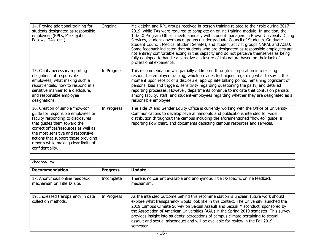| 14. Provide additional training for<br>students designated as responsible<br>employees (RPLs, Meiklejohn<br>Fellows, TAs, etc.)                                                                                                                                                                                            | Ongoing     | Meiklejohn and RPL groups received in-person training related to their role during 2017-<br>2019, while TAs were required to complete an online training module. In addition, the<br>Title IX Program Officer meets annually with student managers in Brown University Dining<br>Services, student governance groups (Undergraduate Council of Students, Graduate<br>Student Council, Medical Student Senate), and student activist groups NARAL and ACLU.<br>Some feedback indicated that students who are designated as responsible employees are<br>not entirely comfortable acting in this capacity and do not perceive themselves as being<br>fully equipped to handle a sensitive disclosure of this nature based on their lack of<br>professional experience. |
|----------------------------------------------------------------------------------------------------------------------------------------------------------------------------------------------------------------------------------------------------------------------------------------------------------------------------|-------------|----------------------------------------------------------------------------------------------------------------------------------------------------------------------------------------------------------------------------------------------------------------------------------------------------------------------------------------------------------------------------------------------------------------------------------------------------------------------------------------------------------------------------------------------------------------------------------------------------------------------------------------------------------------------------------------------------------------------------------------------------------------------|
| 15. Clarify necessary reporting<br>obligations of responsible<br>employees, what making such a<br>report entails, how to respond in a<br>sensitive manner to a disclosure,<br>and responsible employee<br>designations.                                                                                                    | In Progress | This recommendation was partially addressed through incorporation into existing<br>responsible employee training, which provides techniques regarding what to say in the<br>moment upon receipt of a disclosure, appropriate talking points, remaining cognizant of<br>personal bias and triggers, sensitivity regarding questioning the party, and detailed<br>reporting processes. However, departments continue to indicate that confusion persists<br>among faculty, staff, and student-employees regarding whether they are designated as a<br>responsible employee.                                                                                                                                                                                            |
| 16. Creation of simple "how-to"<br>guide for responsible employees or<br>faculty responding to disclosures<br>that guides them toward the<br>correct offices/resources as well as<br>the most sensitive and responsive<br>actions that support those providing<br>reports while making clear limits of<br>confidentiality. | In Progress | The Title IX and Gender Equity Office is currently working with the Office of University<br>Communications to develop several handouts and publications intended for wide<br>distribution throughout the campus including the aforementioned "how-to" guide, a<br>reporting flow chart, and documents depicting campus resources and services.                                                                                                                                                                                                                                                                                                                                                                                                                       |

| Assessment                                                   |                 |                                                                                                                                                                                                                                                                                                                                                                                                                                                                                                                                                  |
|--------------------------------------------------------------|-----------------|--------------------------------------------------------------------------------------------------------------------------------------------------------------------------------------------------------------------------------------------------------------------------------------------------------------------------------------------------------------------------------------------------------------------------------------------------------------------------------------------------------------------------------------------------|
| <b>Recommendation</b>                                        | <b>Progress</b> | <b>Update</b>                                                                                                                                                                                                                                                                                                                                                                                                                                                                                                                                    |
| 17. Anonymous online feedback<br>mechanism on Title IX site. | Incomplete      | There is no current available and anonymous Title IX-specific online feedback<br>mechanism.                                                                                                                                                                                                                                                                                                                                                                                                                                                      |
| 19. Increased transparency in data<br>collection methods.    | In Progress     | As the intended outcome behind this recommendation is unclear, future work should<br>explore what transparency would look like in this context. The University launched the<br>2019 Campus Climate Survey on Sexual Assault and Sexual Misconduct, sponsored by<br>the Association of American Universities (AAU) in the Spring 2019 semester. This survey<br>provides insight into students' perceptions of campus climate pertaining to sexual<br>assault and sexual misconduct and will be available for review in the Fall 2019<br>semester. |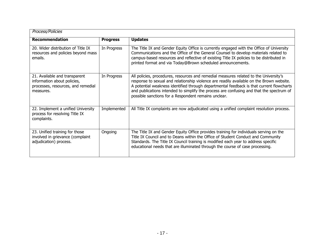| Process/Policies                                                                                                |                 |                                                                                                                                                                                                                                                                                                                                                                                                                                   |  |
|-----------------------------------------------------------------------------------------------------------------|-----------------|-----------------------------------------------------------------------------------------------------------------------------------------------------------------------------------------------------------------------------------------------------------------------------------------------------------------------------------------------------------------------------------------------------------------------------------|--|
| <b>Recommendation</b>                                                                                           | <b>Progress</b> | <b>Updates</b>                                                                                                                                                                                                                                                                                                                                                                                                                    |  |
| 20. Wider distribution of Title IX<br>resources and policies beyond mass<br>emails.                             | In Progress     | The Title IX and Gender Equity Office is currently engaged with the Office of University<br>Communications and the Office of the General Counsel to develop materials related to<br>campus-based resources and reflective of existing Title IX policies to be distributed in<br>printed format and via Today@Brown scheduled announcements.                                                                                       |  |
| 21. Available and transparent<br>information about policies,<br>processes, resources, and remedial<br>measures. | In Progress     | All policies, procedures, resources and remedial measures related to the University's<br>response to sexual and relationship violence are readily available on the Brown website.<br>A potential weakness identified through departmental feedback is that current flowcharts<br>and publications intended to simplify the process are confusing and that the spectrum of<br>possible sanctions for a Respondent remains unclear. |  |
| 22. Implement a unified University<br>process for resolving Title IX<br>complaints.                             | Implemented     | All Title IX complaints are now adjudicated using a unified complaint resolution process.                                                                                                                                                                                                                                                                                                                                         |  |
| 23. Unified training for those<br>involved in grievance (complaint<br>adjudication) process.                    | Ongoing         | The Title IX and Gender Equity Office provides training for individuals serving on the<br>Title IX Council and to Deans within the Office of Student Conduct and Community<br>Standards. The Title IX Council training is modified each year to address specific<br>educational needs that are illuminated through the course of case processing.                                                                                 |  |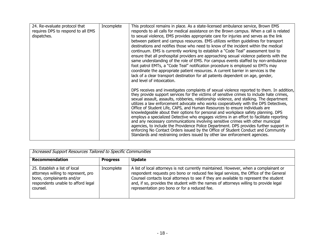| 24. Re-evaluate protocol that      | Incomplete | This protocol remains in place. As a state-licensed ambulance service, Brown EMS                                                                                                 |
|------------------------------------|------------|----------------------------------------------------------------------------------------------------------------------------------------------------------------------------------|
| requires DPS to respond to all EMS |            | responds to all calls for medical assistance on the Brown campus. When a call is related                                                                                         |
| dispatches.                        |            | to sexual violence, EMS provides appropriate care for injuries and serves as the link                                                                                            |
|                                    |            | between patient and campus resources. EMS utilizes written guidelines for transport                                                                                              |
|                                    |            | destinations and notifies those who need to know of the incident within the medical                                                                                              |
|                                    |            | continuum. EMS is currently working to establish a "Code Teal" assessment tool to                                                                                                |
|                                    |            | ensure that all prehospital providers are approaching sexual violence patients with the                                                                                          |
|                                    |            | same understanding of the role of EMS. For campus events staffed by non-ambulance                                                                                                |
|                                    |            | foot patrol EMTs, a "Code Teal" notification procedure is employed so EMTs may                                                                                                   |
|                                    |            | coordinate the appropriate patient resources. A current barrier in services is the                                                                                               |
|                                    |            | lack of a clear transport destination for all patients dependent on age, gender,                                                                                                 |
|                                    |            | and level of intoxication.                                                                                                                                                       |
|                                    |            |                                                                                                                                                                                  |
|                                    |            | DPS receives and investigates complaints of sexual violence reported to them. In addition,                                                                                       |
|                                    |            | they provide support services for the victims of sensitive crimes to include hate crimes,                                                                                        |
|                                    |            | sexual assault, assaults, robberies, relationship violence, and stalking. The department<br>utilizes a law enforcement advocate who works cooperatively with the DPS Detectives, |
|                                    |            | Office of Student Life, CAPS, and Human Resources to ensure individuals are                                                                                                      |
|                                    |            | knowledgeable about their options for personal and workplace safety planning. DPS                                                                                                |
|                                    |            | employs a specialized Detective who engages victims in an effort to facilitate reporting                                                                                         |
|                                    |            | and any necessary communications involving sensitive crimes with other municipal                                                                                                 |
|                                    |            | agencies, to include the Providence Police Department. DPS provides further support in                                                                                           |
|                                    |            | enforcing No Contact Orders issued by the Office of Student Conduct and Community                                                                                                |
|                                    |            | Standards and restraining orders issued by other law enforcement agencies.                                                                                                       |

| <b>Increased Support Resources Tailored to Specific Communities</b>                                                                                 |                 |                                                                                                                                                                                                                                                                                                                                                                                                                    |
|-----------------------------------------------------------------------------------------------------------------------------------------------------|-----------------|--------------------------------------------------------------------------------------------------------------------------------------------------------------------------------------------------------------------------------------------------------------------------------------------------------------------------------------------------------------------------------------------------------------------|
| <b>Recommendation</b>                                                                                                                               | <b>Progress</b> | <b>Update</b>                                                                                                                                                                                                                                                                                                                                                                                                      |
| 25. Establish a list of local<br>attorneys willing to represent, pro<br>bono, complainants and/or<br>respondents unable to afford legal<br>counsel. | Incomplete      | A list of local attorneys is not currently maintained. However, when a complainant or<br>respondent requests pro bono or reduced fee legal services, the Office of the General<br>Counsel contacts local attorneys to see if they are available to represent the student<br>and, if so, provides the student with the names of attorneys willing to provide legal<br>representation pro bono or for a reduced fee. |